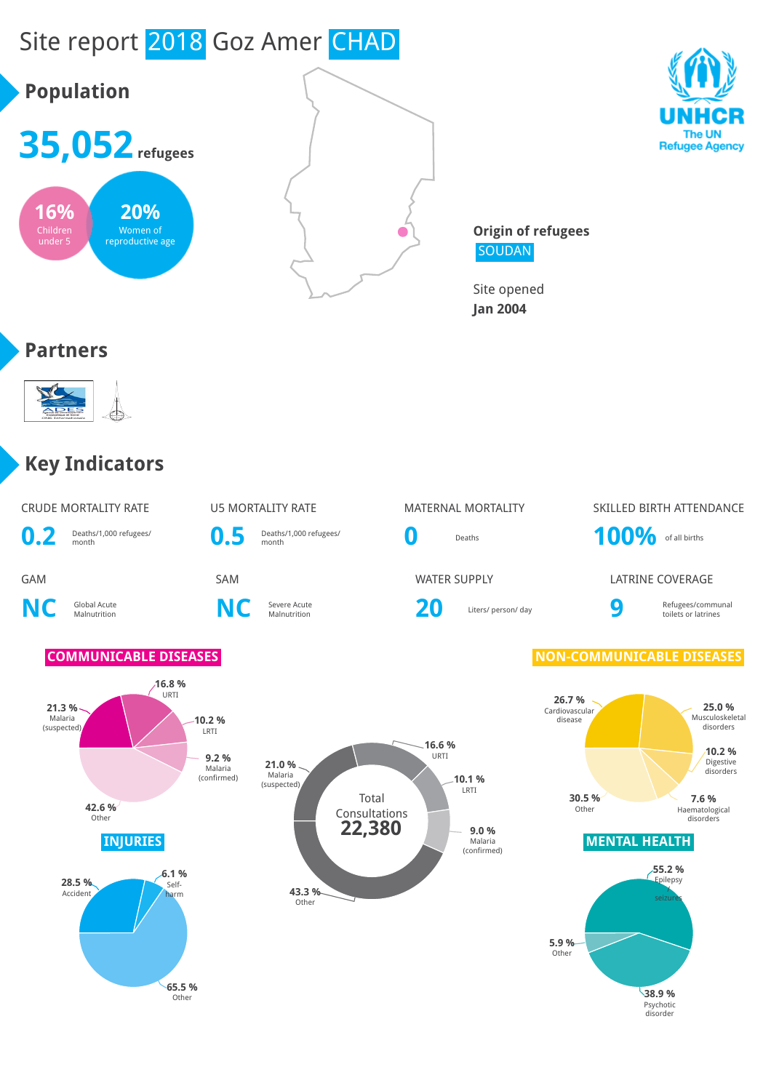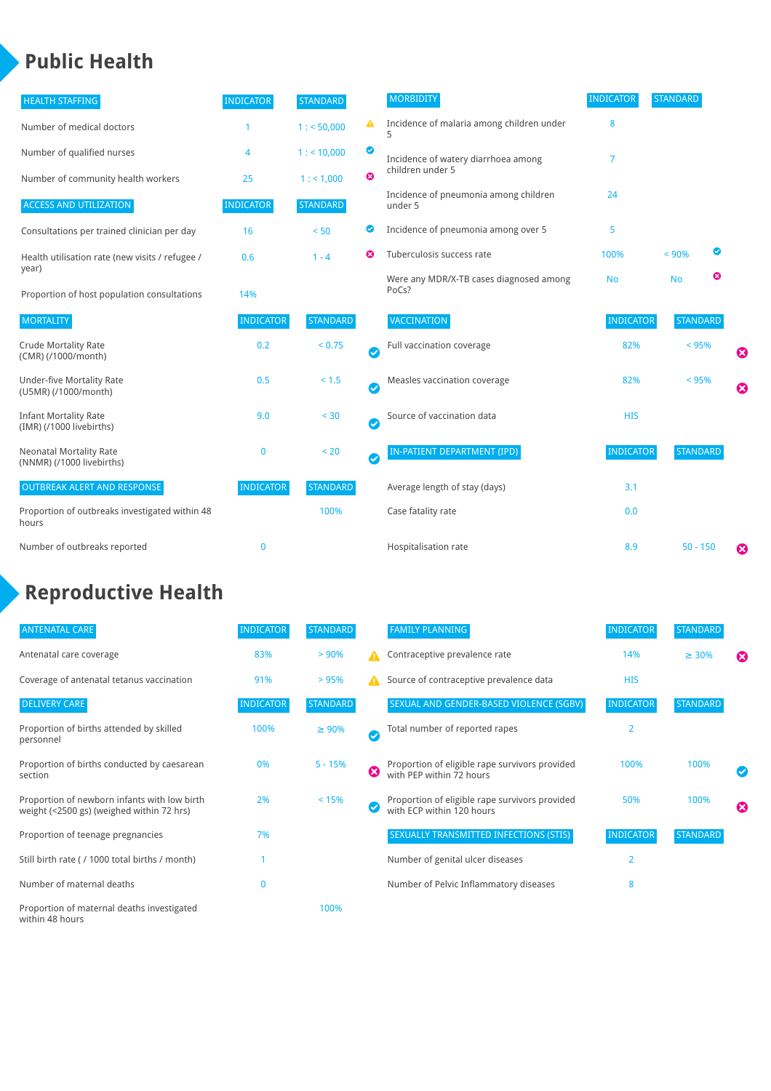### **Public Health**

| <b>HEALTH STAFFING</b>                                      | <b>INDICATOR</b> | <b>STANDARD</b> |           | <b>MORBIDITY</b>                                 | <b>INDICATOR</b> | <b>STANDARD</b> |   |   |
|-------------------------------------------------------------|------------------|-----------------|-----------|--------------------------------------------------|------------------|-----------------|---|---|
| Number of medical doctors                                   |                  | 1: 50,000       | ▲         | Incidence of malaria among children under        | 8                |                 |   |   |
| Number of qualified nurses                                  | 4                | $1:$ < 10,000   | ◎         | Incidence of watery diarrhoea among              | 7                |                 |   |   |
| Number of community health workers                          | 25               | 1: 1,000        | ೞ         | children under 5                                 |                  |                 |   |   |
| <b>ACCESS AND UTILIZATION</b>                               | <b>INDICATOR</b> | <b>STANDARD</b> |           | Incidence of pneumonia among children<br>under 5 | 24               |                 |   |   |
| Consultations per trained clinician per day                 | 16               | < 50            | Ø         | Incidence of pneumonia among over 5              | 5                |                 |   |   |
| Health utilisation rate (new visits / refugee /<br>year)    | 0.6              | $1 - 4$         | Ø         | Tuberculosis success rate                        | 100%             | < 90%           | ◙ |   |
| Proportion of host population consultations                 | 14%              |                 |           | Were any MDR/X-TB cases diagnosed among<br>PoCs? | <b>No</b>        | <b>No</b>       | ఴ |   |
| <b>MORTALITY</b>                                            | <b>INDICATOR</b> | <b>STANDARD</b> |           | VACCINATION                                      | <b>INDICATOR</b> | <b>STANDARD</b> |   |   |
| <b>Crude Mortality Rate</b><br>(CMR) (/1000/month)          | 0.2              | < 0.75          | $\bullet$ | Full vaccination coverage                        | 82%              | < 95%           |   | Ø |
| <b>Under-five Mortality Rate</b><br>(U5MR) (/1000/month)    | 0.5              | $< 1.5$         | $\bullet$ | Measles vaccination coverage                     | 82%              | < 95%           |   | 0 |
| <b>Infant Mortality Rate</b><br>(IMR) (/1000 livebirths)    | 9.0              | < 30            | Ø         | Source of vaccination data                       | <b>HIS</b>       |                 |   |   |
| <b>Neonatal Mortality Rate</b><br>(NNMR) (/1000 livebirths) | $\mathbf 0$      | < 20            | $\bullet$ | IN-PATIENT DEPARTMENT (IPD)                      | <b>INDICATOR</b> | <b>STANDARD</b> |   |   |
| <b>OUTBREAK ALERT AND RESPONSE</b>                          | <b>INDICATOR</b> | <b>STANDARD</b> |           | Average length of stay (days)                    | 3.1              |                 |   |   |
| Proportion of outbreaks investigated within 48<br>hours     |                  | 100%            |           | Case fatality rate                               | 0.0              |                 |   |   |
| Number of outbreaks reported                                | $\mathbf{0}$     |                 |           | Hospitalisation rate                             | 8.9              | $50 - 150$      |   | Ø |

# **Reproductive Health**

| <b>ANTENATAL CARE</b>                                                                     | <b>INDICATOR</b> | <b>STANDARD</b> |                  | <b>FAMILY PLANNING</b>                                                      | <b>INDICATOR</b> | <b>STANDARD</b> |                       |
|-------------------------------------------------------------------------------------------|------------------|-----------------|------------------|-----------------------------------------------------------------------------|------------------|-----------------|-----------------------|
| Antenatal care coverage                                                                   | 83%              | > 90%           | A                | Contraceptive prevalence rate                                               | 14%              | $\geq 30\%$     | $\boldsymbol{\Omega}$ |
| Coverage of antenatal tetanus vaccination                                                 | 91%              | >95%            | $\blacktriangle$ | Source of contraceptive prevalence data                                     | <b>HIS</b>       |                 |                       |
| <b>DELIVERY CARE</b>                                                                      | <b>INDICATOR</b> | <b>STANDARD</b> |                  | SEXUAL AND GENDER-BASED VIOLENCE (SGBV)                                     | <b>INDICATOR</b> | <b>STANDARD</b> |                       |
| Proportion of births attended by skilled<br>personnel                                     | 100%             | $\geq 90\%$     | V                | Total number of reported rapes                                              | $\overline{2}$   |                 |                       |
| Proportion of births conducted by caesarean<br>section                                    | 0%               | $5 - 15%$       | Ø                | Proportion of eligible rape survivors provided<br>with PEP within 72 hours  | 100%             | 100%            | ✓                     |
| Proportion of newborn infants with low birth<br>weight (<2500 gs) (weighed within 72 hrs) | 2%               | < 15%           |                  | Proportion of eligible rape survivors provided<br>with ECP within 120 hours | 50%              | 100%            | ☎                     |
| Proportion of teenage pregnancies                                                         | 7%               |                 |                  | SEXUALLY TRANSMITTED INFECTIONS (STIS)                                      | <b>INDICATOR</b> | <b>STANDARD</b> |                       |
| Still birth rate (/ 1000 total births / month)                                            |                  |                 |                  | Number of genital ulcer diseases                                            | $\overline{2}$   |                 |                       |
| Number of maternal deaths                                                                 | $\mathbf{0}$     |                 |                  | Number of Pelvic Inflammatory diseases                                      | 8                |                 |                       |
| Proportion of maternal deaths investigated<br>within 48 hours                             |                  | 100%            |                  |                                                                             |                  |                 |                       |